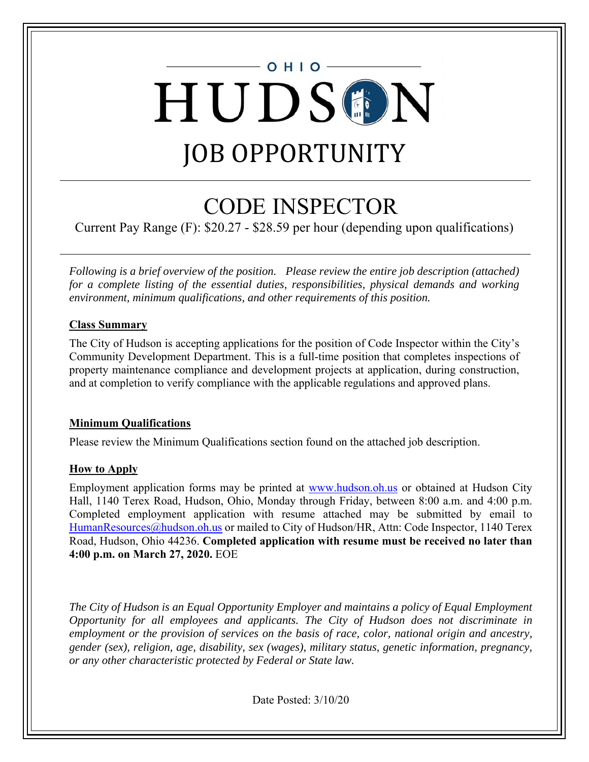

# CODE INSPECTOR

Current Pay Range (F): \$20.27 - \$28.59 per hour (depending upon qualifications)

*Following is a brief overview of the position. Please review the entire job description (attached) for a complete listing of the essential duties, responsibilities, physical demands and working environment, minimum qualifications, and other requirements of this position.* 

## **Class Summary**

The City of Hudson is accepting applications for the position of Code Inspector within the City's Community Development Department. This is a full-time position that completes inspections of property maintenance compliance and development projects at application, during construction, and at completion to verify compliance with the applicable regulations and approved plans.

## **Minimum Qualifications**

Please review the Minimum Qualifications section found on the attached job description.

### **How to Apply**

Employment application forms may be printed at www.hudson.oh.us or obtained at Hudson City Hall, 1140 Terex Road, Hudson, Ohio, Monday through Friday, between 8:00 a.m. and 4:00 p.m. Completed employment application with resume attached may be submitted by email to HumanResources@hudson.oh.us or mailed to City of Hudson/HR, Attn: Code Inspector, 1140 Terex Road, Hudson, Ohio 44236. **Completed application with resume must be received no later than 4:00 p.m. on March 27, 2020.** EOE

*The City of Hudson is an Equal Opportunity Employer and maintains a policy of Equal Employment Opportunity for all employees and applicants. The City of Hudson does not discriminate in employment or the provision of services on the basis of race, color, national origin and ancestry, gender (sex), religion, age, disability, sex (wages), military status, genetic information, pregnancy, or any other characteristic protected by Federal or State law.*

Date Posted: 3/10/20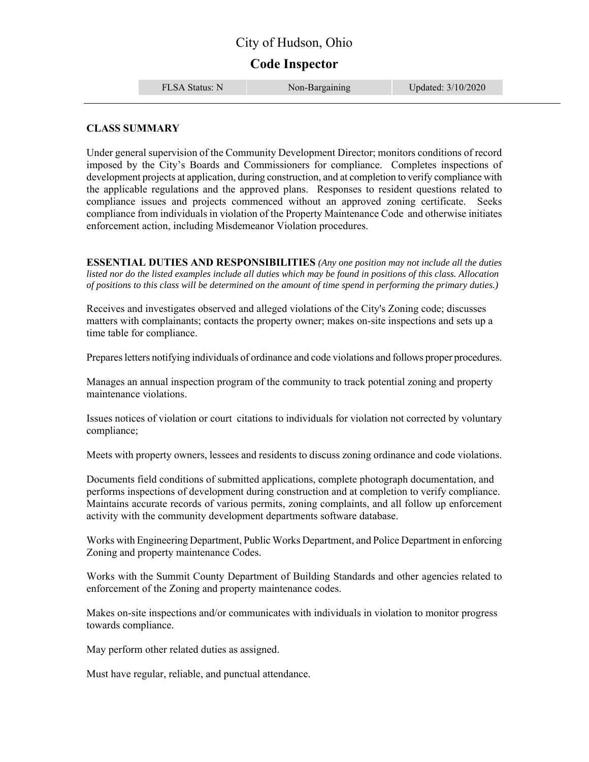## City of Hudson, Ohio

## **Code Inspector**

FLSA Status: N Non-Bargaining Updated: 3/10/2020

#### **CLASS SUMMARY**

Under general supervision of the Community Development Director; monitors conditions of record imposed by the City's Boards and Commissioners for compliance. Completes inspections of development projects at application, during construction, and at completion to verify compliance with the applicable regulations and the approved plans. Responses to resident questions related to compliance issues and projects commenced without an approved zoning certificate. Seeks compliance from individuals in violation of the Property Maintenance Code and otherwise initiates enforcement action, including Misdemeanor Violation procedures.

**ESSENTIAL DUTIES AND RESPONSIBILITIES** *(Any one position may not include all the duties listed nor do the listed examples include all duties which may be found in positions of this class. Allocation of positions to this class will be determined on the amount of time spend in performing the primary duties.)* 

Receives and investigates observed and alleged violations of the City's Zoning code; discusses matters with complainants; contacts the property owner; makes on-site inspections and sets up a time table for compliance.

Prepares letters notifying individuals of ordinance and code violations and follows proper procedures.

Manages an annual inspection program of the community to track potential zoning and property maintenance violations.

Issues notices of violation or court citations to individuals for violation not corrected by voluntary compliance;

Meets with property owners, lessees and residents to discuss zoning ordinance and code violations.

Documents field conditions of submitted applications, complete photograph documentation, and performs inspections of development during construction and at completion to verify compliance. Maintains accurate records of various permits, zoning complaints, and all follow up enforcement activity with the community development departments software database.

Works with Engineering Department, Public Works Department, and Police Department in enforcing Zoning and property maintenance Codes.

Works with the Summit County Department of Building Standards and other agencies related to enforcement of the Zoning and property maintenance codes.

Makes on-site inspections and/or communicates with individuals in violation to monitor progress towards compliance.

May perform other related duties as assigned.

Must have regular, reliable, and punctual attendance.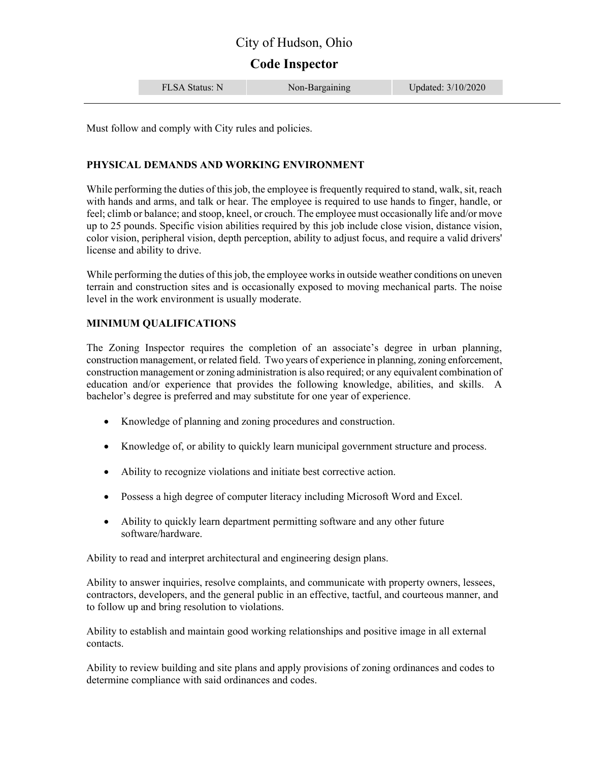# City of Hudson, Ohio

# **Code Inspector**

| FLSA Status: N | Non-Bargaining | Updated: 3/10/2020 |
|----------------|----------------|--------------------|
|                |                |                    |

Must follow and comply with City rules and policies.

### **PHYSICAL DEMANDS AND WORKING ENVIRONMENT**

While performing the duties of this job, the employee is frequently required to stand, walk, sit, reach with hands and arms, and talk or hear. The employee is required to use hands to finger, handle, or feel; climb or balance; and stoop, kneel, or crouch. The employee must occasionally life and/or move up to 25 pounds. Specific vision abilities required by this job include close vision, distance vision, color vision, peripheral vision, depth perception, ability to adjust focus, and require a valid drivers' license and ability to drive.

While performing the duties of this job, the employee works in outside weather conditions on uneven terrain and construction sites and is occasionally exposed to moving mechanical parts. The noise level in the work environment is usually moderate.

### **MINIMUM QUALIFICATIONS**

The Zoning Inspector requires the completion of an associate's degree in urban planning, construction management, or related field. Two years of experience in planning, zoning enforcement, construction management or zoning administration is also required; or any equivalent combination of education and/or experience that provides the following knowledge, abilities, and skills. A bachelor's degree is preferred and may substitute for one year of experience.

- Knowledge of planning and zoning procedures and construction.
- Knowledge of, or ability to quickly learn municipal government structure and process.
- Ability to recognize violations and initiate best corrective action.
- Possess a high degree of computer literacy including Microsoft Word and Excel.
- Ability to quickly learn department permitting software and any other future software/hardware.

Ability to read and interpret architectural and engineering design plans.

Ability to answer inquiries, resolve complaints, and communicate with property owners, lessees, contractors, developers, and the general public in an effective, tactful, and courteous manner, and to follow up and bring resolution to violations.

Ability to establish and maintain good working relationships and positive image in all external contacts.

Ability to review building and site plans and apply provisions of zoning ordinances and codes to determine compliance with said ordinances and codes.